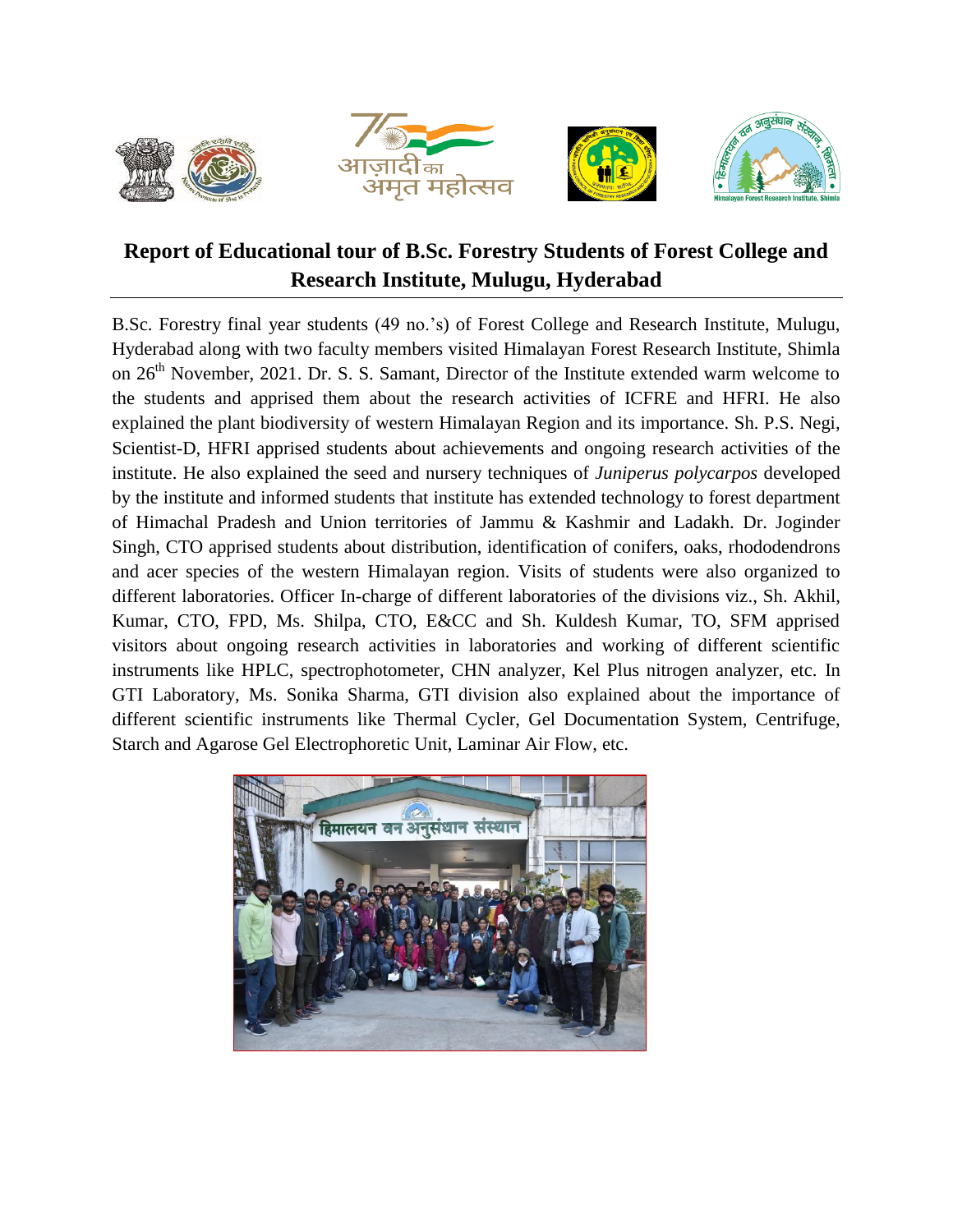







## **Report of Educational tour of B.Sc. Forestry Students of Forest College and Research Institute, Mulugu, Hyderabad**

B.Sc. Forestry final year students (49 no.'s) of Forest College and Research Institute, Mulugu, Hyderabad along with two faculty members visited Himalayan Forest Research Institute, Shimla on 26<sup>th</sup> November, 2021. Dr. S. S. Samant, Director of the Institute extended warm welcome to the students and apprised them about the research activities of ICFRE and HFRI. He also explained the plant biodiversity of western Himalayan Region and its importance. Sh. P.S. Negi, Scientist-D, HFRI apprised students about achievements and ongoing research activities of the institute. He also explained the seed and nursery techniques of *Juniperus polycarpos* developed by the institute and informed students that institute has extended technology to forest department of Himachal Pradesh and Union territories of Jammu & Kashmir and Ladakh. Dr. Joginder Singh, CTO apprised students about distribution, identification of conifers, oaks, rhododendrons and acer species of the western Himalayan region. Visits of students were also organized to different laboratories. Officer In-charge of different laboratories of the divisions viz., Sh. Akhil, Kumar, CTO, FPD, Ms. Shilpa, CTO, E&CC and Sh. Kuldesh Kumar, TO, SFM apprised visitors about ongoing research activities in laboratories and working of different scientific instruments like HPLC, spectrophotometer, CHN analyzer, Kel Plus nitrogen analyzer, etc. In GTI Laboratory, Ms. Sonika Sharma, GTI division also explained about the importance of different scientific instruments like Thermal Cycler, Gel Documentation System, Centrifuge, Starch and Agarose Gel Electrophoretic Unit, Laminar Air Flow, etc.